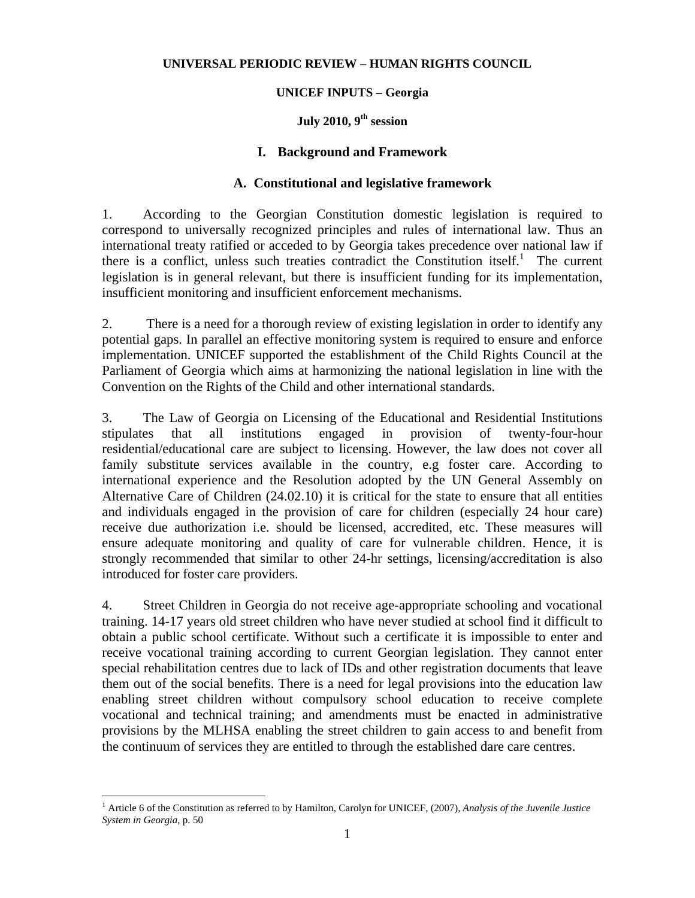#### **UNIVERSAL PERIODIC REVIEW – HUMAN RIGHTS COUNCIL**

#### **UNICEF INPUTS – Georgia**

### **July 2010, 9th session**

#### **I. Background and Framework**

#### **A. Constitutional and legislative framework**

1. According to the Georgian Constitution domestic legislation is required to correspond to universally recognized principles and rules of international law. Thus an international treaty ratified or acceded to by Georgia takes precedence over national law if there is a conflict, unless such treaties contradict the Constitution itself.<sup>1</sup> The current legislation is in general relevant, but there is insufficient funding for its implementation, insufficient monitoring and insufficient enforcement mechanisms.

2. There is a need for a thorough review of existing legislation in order to identify any potential gaps. In parallel an effective monitoring system is required to ensure and enforce implementation. UNICEF supported the establishment of the Child Rights Council at the Parliament of Georgia which aims at harmonizing the national legislation in line with the Convention on the Rights of the Child and other international standards.

3. The Law of Georgia on Licensing of the Educational and Residential Institutions stipulates that all institutions engaged in provision of twenty-four-hour residential/educational care are subject to licensing. However, the law does not cover all family substitute services available in the country, e.g foster care. According to international experience and the Resolution adopted by the UN General Assembly on Alternative Care of Children (24.02.10) it is critical for the state to ensure that all entities and individuals engaged in the provision of care for children (especially 24 hour care) receive due authorization i.e. should be licensed, accredited, etc. These measures will ensure adequate monitoring and quality of care for vulnerable children. Hence, it is strongly recommended that similar to other 24-hr settings, licensing/accreditation is also introduced for foster care providers.

4. Street Children in Georgia do not receive age-appropriate schooling and vocational training. 14-17 years old street children who have never studied at school find it difficult to obtain a public school certificate. Without such a certificate it is impossible to enter and receive vocational training according to current Georgian legislation. They cannot enter special rehabilitation centres due to lack of IDs and other registration documents that leave them out of the social benefits. There is a need for legal provisions into the education law enabling street children without compulsory school education to receive complete vocational and technical training; and amendments must be enacted in administrative provisions by the MLHSA enabling the street children to gain access to and benefit from the continuum of services they are entitled to through the established dare care centres.

<u>.</u>

<sup>1</sup> Article 6 of the Constitution as referred to by Hamilton, Carolyn for UNICEF, (2007), *Analysis of the Juvenile Justice System in Georgia*, p. 50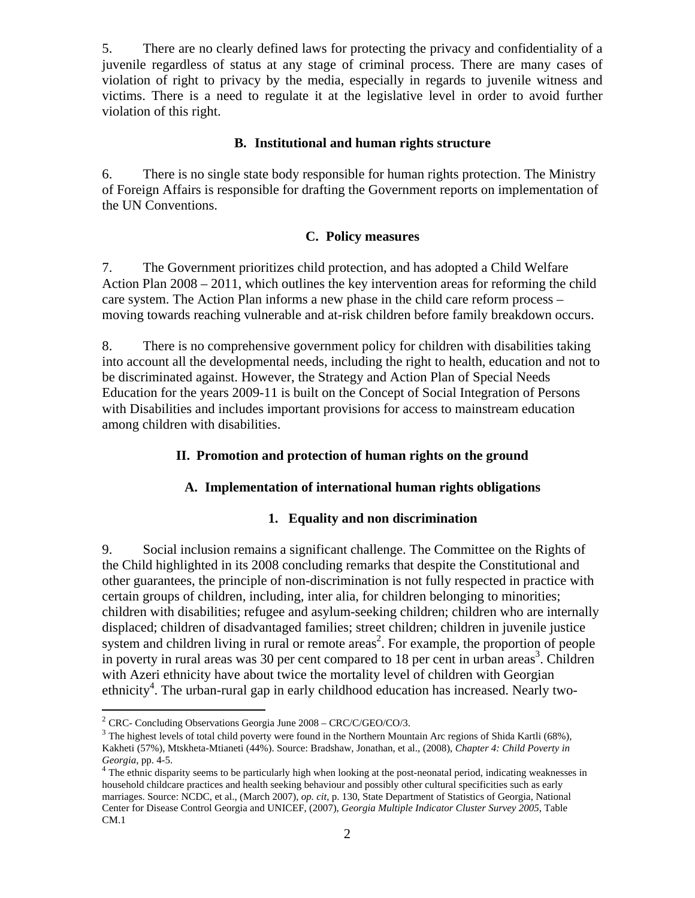5. There are no clearly defined laws for protecting the privacy and confidentiality of a juvenile regardless of status at any stage of criminal process. There are many cases of violation of right to privacy by the media, especially in regards to juvenile witness and victims. There is a need to regulate it at the legislative level in order to avoid further violation of this right.

#### **B. Institutional and human rights structure**

6. There is no single state body responsible for human rights protection. The Ministry of Foreign Affairs is responsible for drafting the Government reports on implementation of the UN Conventions.

## **C. Policy measures**

7. The Government prioritizes child protection, and has adopted a Child Welfare Action Plan 2008 – 2011, which outlines the key intervention areas for reforming the child care system. The Action Plan informs a new phase in the child care reform process – moving towards reaching vulnerable and at-risk children before family breakdown occurs.

8. There is no comprehensive government policy for children with disabilities taking into account all the developmental needs, including the right to health, education and not to be discriminated against. However, the Strategy and Action Plan of Special Needs Education for the years 2009-11 is built on the Concept of Social Integration of Persons with Disabilities and includes important provisions for access to mainstream education among children with disabilities.

## **II. Promotion and protection of human rights on the ground**

#### **A. Implementation of international human rights obligations**

#### **1. Equality and non discrimination**

9. Social inclusion remains a significant challenge. The Committee on the Rights of the Child highlighted in its 2008 concluding remarks that despite the Constitutional and other guarantees, the principle of non-discrimination is not fully respected in practice with certain groups of children, including, inter alia, for children belonging to minorities; children with disabilities; refugee and asylum-seeking children; children who are internally displaced; children of disadvantaged families; street children; children in juvenile justice system and children living in rural or remote areas<sup>2</sup>. For example, the proportion of people in poverty in rural areas was 30 per cent compared to 18 per cent in urban areas<sup>3</sup>. Children with Azeri ethnicity have about twice the mortality level of children with Georgian ethnicity<sup>4</sup>. The urban-rural gap in early childhood education has increased. Nearly two-

1

 $2$  CRC- Concluding Observations Georgia June 2008 – CRC/C/GEO/CO/3.

<sup>&</sup>lt;sup>3</sup> The highest levels of total child poverty were found in the Northern Mountain Arc regions of Shida Kartli (68%), Kakheti (57%), Mtskheta-Mtianeti (44%). Source: Bradshaw, Jonathan, et al., (2008), *Chapter 4: Child Poverty in* 

*Georgia*, pp. 4-5.<br><sup>4</sup> The ethnic disparity seems to be particularly high when looking at the post-neonatal period, indicating weaknesses in household childcare practices and health seeking behaviour and possibly other cultural specificities such as early marriages. Source: NCDC, et al., (March 2007), *op. cit*, p. 130, State Department of Statistics of Georgia, National Center for Disease Control Georgia and UNICEF, (2007), *Georgia Multiple Indicator Cluster Survey 2005*, Table CM.1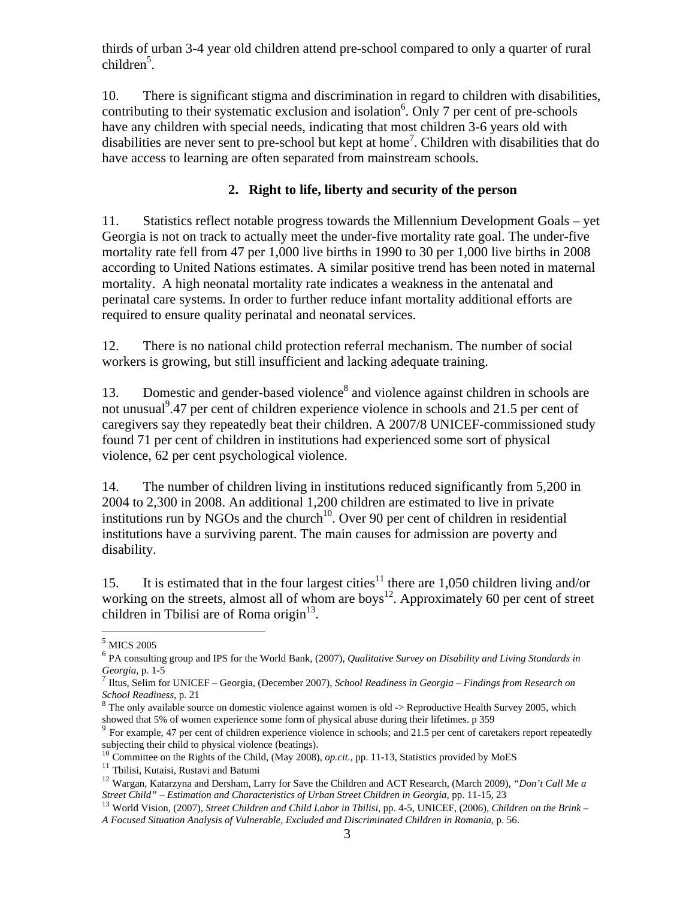thirds of urban 3-4 year old children attend pre-school compared to only a quarter of rural children<sup>5</sup>.

10. There is significant stigma and discrimination in regard to children with disabilities, contributing to their systematic exclusion and isolation<sup>6</sup>. Only 7 per cent of pre-schools have any children with special needs, indicating that most children 3-6 years old with disabilities are never sent to pre-school but kept at home<sup>7</sup> . Children with disabilities that do have access to learning are often separated from mainstream schools.

# **2. Right to life, liberty and security of the person**

11. Statistics reflect notable progress towards the Millennium Development Goals – yet Georgia is not on track to actually meet the under-five mortality rate goal. The under-five mortality rate fell from 47 per 1,000 live births in 1990 to 30 per 1,000 live births in 2008 according to United Nations estimates. A similar positive trend has been noted in maternal mortality. A high neonatal mortality rate indicates a weakness in the antenatal and perinatal care systems. In order to further reduce infant mortality additional efforts are required to ensure quality perinatal and neonatal services.

12. There is no national child protection referral mechanism. The number of social workers is growing, but still insufficient and lacking adequate training.

13. Domestic and gender-based violence<sup>8</sup> and violence against children in schools are not unusual<sup>9</sup>.47 per cent of children experience violence in schools and 21.5 per cent of caregivers say they repeatedly beat their children. A 2007/8 UNICEF-commissioned study found 71 per cent of children in institutions had experienced some sort of physical violence, 62 per cent psychological violence.

14. The number of children living in institutions reduced significantly from 5,200 in 2004 to 2,300 in 2008. An additional 1,200 children are estimated to live in private institutions run by NGOs and the church<sup>10</sup>. Over 90 per cent of children in residential institutions have a surviving parent. The main causes for admission are poverty and disability.

15. It is estimated that in the four largest cities<sup>11</sup> there are 1,050 children living and/or working on the streets, almost all of whom are boys<sup>12</sup>. Approximately 60 per cent of street children in Tbilisi are of Roma origin $13$ .

<sup>1</sup>  $^5$  MICS 2005  $\,$ 

<sup>6</sup> PA consulting group and IPS for the World Bank, (2007), *Qualitative Survey on Disability and Living Standards in Georgia*, p. 1-5<br><sup>7</sup> Iltus, Selim for UNICEF – Georgia, (December 2007), *School Readiness in Georgia – Findings from Research on* 

*School Readiness*, p. 21<br><sup>8</sup> The only available source on domestic violence against women is old -> Reproductive Health Survey 2005, which

showed that 5% of women experience some form of physical abuse during their lifetimes. p 359  $\frac{9}{10}$  For example, 47 per cent of children experience violence in schools; and 21.5 per cent of caretakers report repeatedl

subjecting their child to physical violence (beatings).

<sup>&</sup>lt;sup>10</sup> Committee on the Rights of the Child, (May 2008), *op.cit.*, pp. 11-13, Statistics provided by MoES<sup>11</sup> Tbilisi, Kutaisi, Rustavi and Batumi

<sup>&</sup>lt;sup>12</sup> Wargan, Katarzyna and Dersham, Larry for Save the Children and ACT Research, (March 2009), *"Don't Call Me a Street Child" – Estimation and Characteristics of Urban Street Children in Georgia, pp. 11-15, 23* 

<sup>&</sup>lt;sup>13</sup> World Vision, (2007), Street Children and Child Labor in Tbilisi, pp. 4-5, UNICEF, (2006), Children on the Brink -*A Focused Situation Analysis of Vulnerable, Excluded and Discriminated Children in Romania*, p. 56.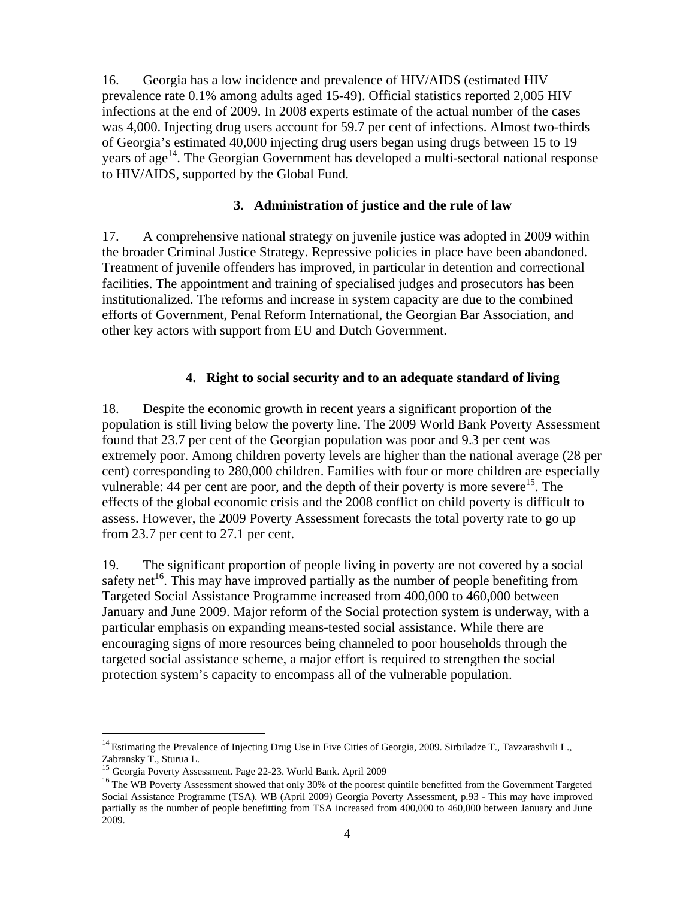16. Georgia has a low incidence and prevalence of HIV/AIDS (estimated HIV prevalence rate 0.1% among adults aged 15-49). Official statistics reported 2,005 HIV infections at the end of 2009. In 2008 experts estimate of the actual number of the cases was 4,000. Injecting drug users account for 59.7 per cent of infections. Almost two-thirds of Georgia's estimated 40,000 injecting drug users began using drugs between 15 to 19 years of  $age^{14}$ . The Georgian Government has developed a multi-sectoral national response to HIV/AIDS, supported by the Global Fund.

### **3. Administration of justice and the rule of law**

17. A comprehensive national strategy on juvenile justice was adopted in 2009 within the broader Criminal Justice Strategy. Repressive policies in place have been abandoned. Treatment of juvenile offenders has improved, in particular in detention and correctional facilities. The appointment and training of specialised judges and prosecutors has been institutionalized. The reforms and increase in system capacity are due to the combined efforts of Government, Penal Reform International, the Georgian Bar Association, and other key actors with support from EU and Dutch Government.

### **4. Right to social security and to an adequate standard of living**

18. Despite the economic growth in recent years a significant proportion of the population is still living below the poverty line. The 2009 World Bank Poverty Assessment found that 23.7 per cent of the Georgian population was poor and 9.3 per cent was extremely poor. Among children poverty levels are higher than the national average (28 per cent) corresponding to 280,000 children. Families with four or more children are especially vulnerable: 44 per cent are poor, and the depth of their poverty is more severe<sup>15</sup>. The effects of the global economic crisis and the 2008 conflict on child poverty is difficult to assess. However, the 2009 Poverty Assessment forecasts the total poverty rate to go up from 23.7 per cent to 27.1 per cent.

19. The significant proportion of people living in poverty are not covered by a social safety net<sup>16</sup>. This may have improved partially as the number of people benefiting from Targeted Social Assistance Programme increased from 400,000 to 460,000 between January and June 2009. Major reform of the Social protection system is underway, with a particular emphasis on expanding means-tested social assistance. While there are encouraging signs of more resources being channeled to poor households through the targeted social assistance scheme, a major effort is required to strengthen the social protection system's capacity to encompass all of the vulnerable population.

1

<sup>&</sup>lt;sup>14</sup> Estimating the Prevalence of Injecting Drug Use in Five Cities of Georgia, 2009. Sirbiladze T., Tavzarashvili L., Zabransky T., Sturua L.<br><sup>15</sup> Georgia Poverty Assessment. Page 22-23. World Bank. April 2009

<sup>&</sup>lt;sup>16</sup> The WB Poverty Assessment showed that only 30% of the poorest quintile benefitted from the Government Targeted Social Assistance Programme (TSA). WB (April 2009) Georgia Poverty Assessment, p.93 - This may have improved partially as the number of people benefitting from TSA increased from 400,000 to 460,000 between January and June 2009.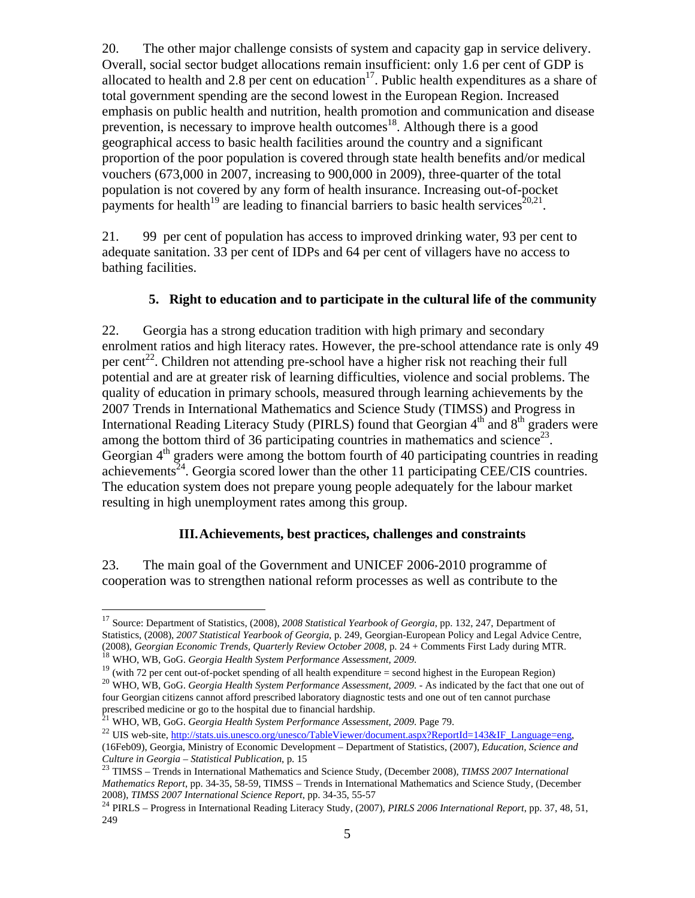20. The other major challenge consists of system and capacity gap in service delivery. Overall, social sector budget allocations remain insufficient: only 1.6 per cent of GDP is allocated to health and  $2.8$  per cent on education<sup>17</sup>. Public health expenditures as a share of total government spending are the second lowest in the European Region. Increased emphasis on public health and nutrition, health promotion and communication and disease prevention, is necessary to improve health outcomes<sup>18</sup>. Although there is a good geographical access to basic health facilities around the country and a significant proportion of the poor population is covered through state health benefits and/or medical vouchers (673,000 in 2007, increasing to 900,000 in 2009), three-quarter of the total population is not covered by any form of health insurance. Increasing out-of-pocket payments for health<sup>19</sup> are leading to financial barriers to basic health services<sup>20,21</sup>.

21. 99 per cent of population has access to improved drinking water, 93 per cent to adequate sanitation. 33 per cent of IDPs and 64 per cent of villagers have no access to bathing facilities.

## **5. Right to education and to participate in the cultural life of the community**

22. Georgia has a strong education tradition with high primary and secondary enrolment ratios and high literacy rates. However, the pre-school attendance rate is only 49 per cent<sup>22</sup>. Children not attending pre-school have a higher risk not reaching their full potential and are at greater risk of learning difficulties, violence and social problems. The quality of education in primary schools, measured through learning achievements by the 2007 Trends in International Mathematics and Science Study (TIMSS) and Progress in International Reading Literacy Study (PIRLS) found that Georgian  $4<sup>th</sup>$  and  $8<sup>th</sup>$  graders were among the bottom third of 36 participating countries in mathematics and science<sup>23</sup>. Georgian  $4<sup>th</sup>$  graders were among the bottom fourth of 40 participating countries in reading achievements<sup>24</sup>. Georgia scored lower than the other 11 participating CEE/CIS countries. The education system does not prepare young people adequately for the labour market resulting in high unemployment rates among this group.

#### **III.Achievements, best practices, challenges and constraints**

23. The main goal of the Government and UNICEF 2006-2010 programme of cooperation was to strengthen national reform processes as well as contribute to the

 $\overline{a}$ 

<sup>17</sup> Source: Department of Statistics, (2008), *2008 Statistical Yearbook of Georgia*, pp. 132, 247, Department of Statistics, (2008), *2007 Statistical Yearbook of Georgia*, p. 249, Georgian-European Policy and Legal Advice Centre, (2008), *Georgian Economic Trends, Quarterly Review October 2008*, p. 24 + Comments First Lady during MT

<sup>&</sup>lt;sup>18</sup> WHO, WB, GoG. *Georgia Health System Performance Assessment*, 2009.<br><sup>19</sup> (with 72 per cent out-of-pocket spending of all health expenditure = second highest in the European Region)<br><sup>20</sup> WHO, WB, GoG. *Georgia Health* four Georgian citizens cannot afford prescribed laboratory diagnostic tests and one out of ten cannot purchase prescribed medicine or go to the hospital due to financial hardship.

<sup>21</sup> WHO, WB, GoG. *Georgia Health System Performance Assessment, 2009*. Page 79.

<sup>&</sup>lt;sup>22</sup> UIS web-site, http://stats.uis.unesco.org/unesco/TableViewer/document.aspx?ReportId=143&IF\_Language=eng, (16Feb09), Georgia, Ministry of Economic Development – Department of Statistics, (2007), *Education, Science and Culture in Georgia – Statistical Publication*, p. 15 23 TIMSS – Trends in International Mathematics and Science Study, (December 2008), *TIMSS 2007 International* 

*Mathematics Report*, pp. 34-35, 58-59, TIMSS – Trends in International Mathematics and Science Study, (December

<sup>2008),</sup> *TIMSS 2007 International Science Report*, pp. 34-35, 55-57 <sup>24</sup> PIRLS – Progress in International Reading Literacy Study, (2007), *PIRLS 2006 International Report*, pp. 37, 48, 51, 249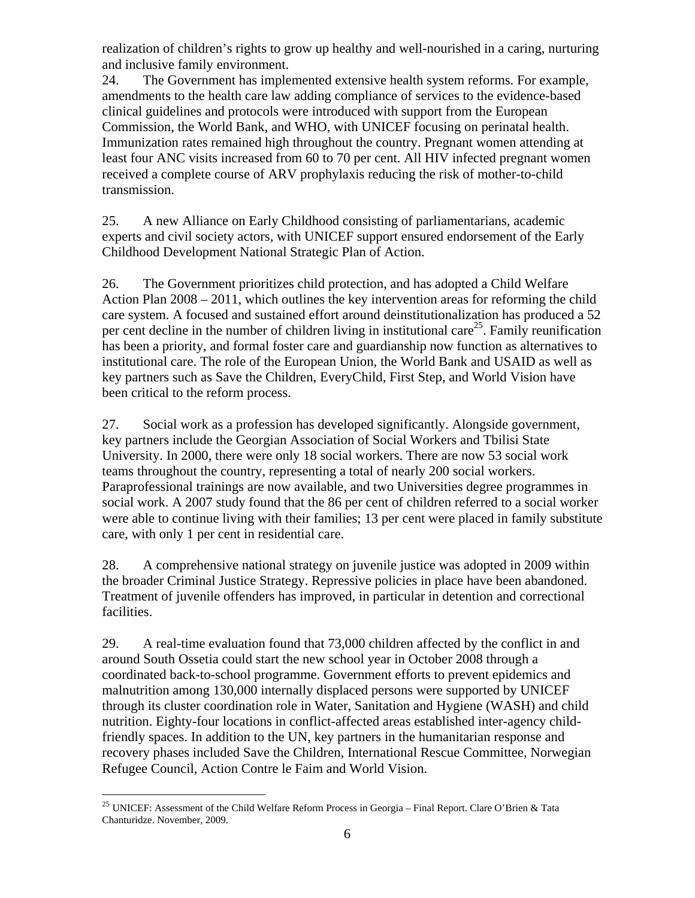realization of children's rights to grow up healthy and well-nourished in a caring, nurturing and inclusive family environment.

24. The Government has implemented extensive health system reforms. For example, amendments to the health care law adding compliance of services to the evidence-based clinical guidelines and protocols were introduced with support from the European Commission, the World Bank, and WHO, with UNICEF focusing on perinatal health. Immunization rates remained high throughout the country. Pregnant women attending at least four ANC visits increased from 60 to 70 per cent. All HIV infected pregnant women received a complete course of ARV prophylaxis reducing the risk of mother-to-child transmission.

25. A new Alliance on Early Childhood consisting of parliamentarians, academic experts and civil society actors, with UNICEF support ensured endorsement of the Early Childhood Development National Strategic Plan of Action.

26. The Government prioritizes child protection, and has adopted a Child Welfare Action Plan 2008 – 2011, which outlines the key intervention areas for reforming the child care system. A focused and sustained effort around deinstitutionalization has produced a 52 per cent decline in the number of children living in institutional care<sup>25</sup>. Family reunification has been a priority, and formal foster care and guardianship now function as alternatives to institutional care. The role of the European Union, the World Bank and USAID as well as key partners such as Save the Children, EveryChild, First Step, and World Vision have been critical to the reform process.

27. Social work as a profession has developed significantly. Alongside government, key partners include the Georgian Association of Social Workers and Tbilisi State University. In 2000, there were only 18 social workers. There are now 53 social work teams throughout the country, representing a total of nearly 200 social workers. Paraprofessional trainings are now available, and two Universities degree programmes in social work. A 2007 study found that the 86 per cent of children referred to a social worker were able to continue living with their families; 13 per cent were placed in family substitute care, with only 1 per cent in residential care.

28. A comprehensive national strategy on juvenile justice was adopted in 2009 within the broader Criminal Justice Strategy. Repressive policies in place have been abandoned. Treatment of juvenile offenders has improved, in particular in detention and correctional facilities.

29. A real-time evaluation found that 73,000 children affected by the conflict in and around South Ossetia could start the new school year in October 2008 through a coordinated back-to-school programme. Government efforts to prevent epidemics and malnutrition among 130,000 internally displaced persons were supported by UNICEF through its cluster coordination role in Water, Sanitation and Hygiene (WASH) and child nutrition. Eighty-four locations in conflict-affected areas established inter-agency childfriendly spaces. In addition to the UN, key partners in the humanitarian response and recovery phases included Save the Children, International Rescue Committee, Norwegian Refugee Council, Action Contre le Faim and World Vision.

 $\overline{a}$ 

<sup>&</sup>lt;sup>25</sup> UNICEF: Assessment of the Child Welfare Reform Process in Georgia – Final Report. Clare O'Brien & Tata Chanturidze. November, 2009.